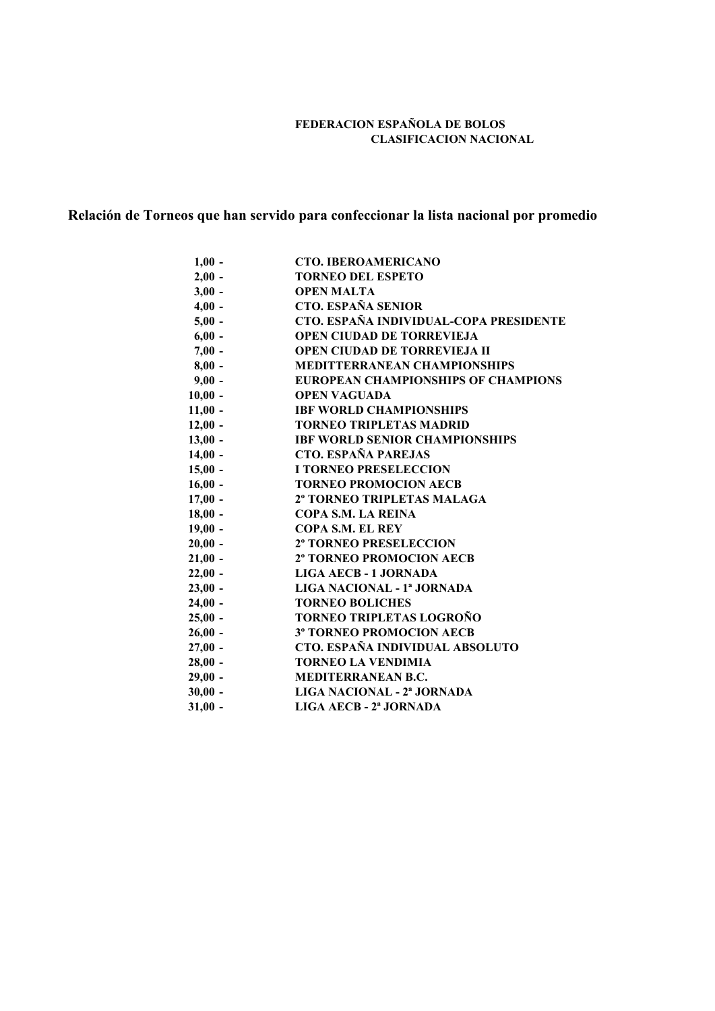## **FEDERACION ESPAÑOLA DE BOLOS CLASIFICACION NACIONAL**

# **Relación de Torneos que han servido para confeccionar la lista nacional por promedio**

| $1,00 -$  | <b>CTO. IBEROAMERICANO</b>                 |
|-----------|--------------------------------------------|
| $2,00 -$  | <b>TORNEO DEL ESPETO</b>                   |
| $3,00 -$  | <b>OPEN MALTA</b>                          |
| $4,00 -$  | <b>CTO. ESPAÑA SENIOR</b>                  |
| $5,00 -$  | CTO. ESPAÑA INDIVIDUAL-COPA PRESIDENTE     |
| $6,00 -$  | <b>OPEN CIUDAD DE TORREVIEJA</b>           |
| $7,00 -$  | <b>OPEN CIUDAD DE TORREVIEJA II</b>        |
| $8,00 -$  | <b>MEDITTERRANEAN CHAMPIONSHIPS</b>        |
| $9,00 -$  | <b>EUROPEAN CHAMPIONSHIPS OF CHAMPIONS</b> |
| $10,00 -$ | <b>OPEN VAGUADA</b>                        |
| $11,00 -$ | <b>IBF WORLD CHAMPIONSHIPS</b>             |
| $12,00 -$ | <b>TORNEO TRIPLETAS MADRID</b>             |
| $13,00 -$ | <b>IBF WORLD SENIOR CHAMPIONSHIPS</b>      |
| $14,00 -$ | <b>CTO. ESPAÑA PAREJAS</b>                 |
| $15,00 -$ | <b>I TORNEO PRESELECCION</b>               |
| $16,00 -$ | <b>TORNEO PROMOCION AECB</b>               |
| $17,00 -$ | 2º TORNEO TRIPLETAS MALAGA                 |
| $18,00 -$ | <b>COPA S.M. LA REINA</b>                  |
| $19,00 -$ | <b>COPA S.M. EL REY</b>                    |
| $20,00 -$ | <b>2º TORNEO PRESELECCION</b>              |
| $21,00 -$ | <b>2º TORNEO PROMOCION AECB</b>            |
| $22,00 -$ | LIGA AECB - 1 JORNADA                      |
| $23,00 -$ | LIGA NACIONAL - 1ª JORNADA                 |
| $24,00 -$ | <b>TORNEO BOLICHES</b>                     |
| $25,00 -$ | TORNEO TRIPLETAS LOGROÑO                   |
| $26,00 -$ | <b>3º TORNEO PROMOCION AECB</b>            |
| $27,00 -$ | CTO. ESPAÑA INDIVIDUAL ABSOLUTO            |
| $28,00 -$ | <b>TORNEO LA VENDIMIA</b>                  |
| $29,00 -$ | <b>MEDITERRANEAN B.C.</b>                  |
| $30,00 -$ | LIGA NACIONAL - 2ª JORNADA                 |
| $31,00 -$ | LIGA AECB - 2ª JORNADA                     |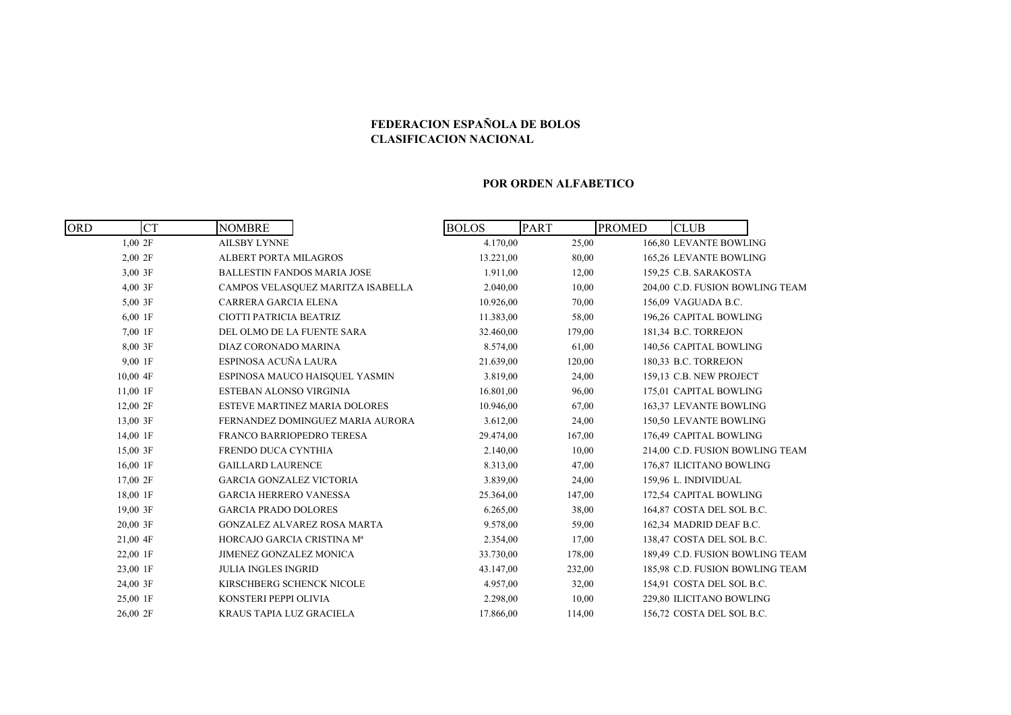### **FEDERACION ESPAÑOLA DE BOLOS CLASIFICACION NACIONAL**

#### **POR ORDEN ALFABETICO**

| <b>CT</b><br><b>ORD</b> | <b>NOMBRE</b>                        | <b>PART</b><br><b>BOLOS</b> |        | <b>PROMED</b><br><b>CLUB</b>    |
|-------------------------|--------------------------------------|-----------------------------|--------|---------------------------------|
| 1,002F                  | <b>AILSBY LYNNE</b>                  | 4.170,00                    | 25,00  | 166,80 LEVANTE BOWLING          |
| 2,002F                  | <b>ALBERT PORTA MILAGROS</b>         | 13.221,00                   | 80,00  | 165,26 LEVANTE BOWLING          |
| 3,00 3F                 | <b>BALLESTIN FANDOS MARIA JOSE</b>   | 1.911,00                    | 12,00  | 159,25 C.B. SARAKOSTA           |
| 4,00 3F                 | CAMPOS VELASQUEZ MARITZA ISABELLA    | 2.040,00                    | 10,00  | 204,00 C.D. FUSION BOWLING TEAM |
| 5,00 3F                 | CARRERA GARCIA ELENA                 | 10.926,00                   | 70,00  | 156,09 VAGUADA B.C.             |
| 6,00 1F                 | CIOTTI PATRICIA BEATRIZ              | 11.383,00                   | 58,00  | 196,26 CAPITAL BOWLING          |
| 7,00 1F                 | DEL OLMO DE LA FUENTE SARA           | 32.460,00                   | 179,00 | 181,34 B.C. TORREJON            |
| 8,00 3F                 | DIAZ CORONADO MARINA                 | 8.574,00                    | 61,00  | 140,56 CAPITAL BOWLING          |
| 9,00 1F                 | ESPINOSA ACUÑA LAURA                 | 21.639,00                   | 120,00 | 180,33 B.C. TORREJON            |
| $10,00$ 4F              | ESPINOSA MAUCO HAISQUEL YASMIN       | 3.819,00                    | 24,00  | 159,13 C.B. NEW PROJECT         |
| 11,00 1F                | ESTEBAN ALONSO VIRGINIA              | 16.801,00                   | 96,00  | 175,01 CAPITAL BOWLING          |
| 12,00 2F                | <b>ESTEVE MARTINEZ MARIA DOLORES</b> | 10.946,00                   | 67,00  | 163,37 LEVANTE BOWLING          |
| 13,00 3F                | FERNANDEZ DOMINGUEZ MARIA AURORA     | 3.612,00                    | 24,00  | 150,50 LEVANTE BOWLING          |
| 14,00 1F                | FRANCO BARRIOPEDRO TERESA            | 29.474,00                   | 167,00 | 176,49 CAPITAL BOWLING          |
| 15,00 3F                | FRENDO DUCA CYNTHIA                  | 2.140,00                    | 10,00  | 214,00 C.D. FUSION BOWLING TEAM |
| 16,00 1F                | <b>GAILLARD LAURENCE</b>             | 8.313,00                    | 47,00  | 176,87 ILICITANO BOWLING        |
| 17,00 2F                | <b>GARCIA GONZALEZ VICTORIA</b>      | 3.839,00                    | 24,00  | 159,96 L. INDIVIDUAL            |
| 18,00 1F                | <b>GARCIA HERRERO VANESSA</b>        | 25.364,00                   | 147,00 | 172,54 CAPITAL BOWLING          |
| 19,00 3F                | <b>GARCIA PRADO DOLORES</b>          | 6.265,00                    | 38,00  | 164,87 COSTA DEL SOL B.C.       |
| 20,00 3F                | <b>GONZALEZ ALVAREZ ROSA MARTA</b>   | 9.578,00                    | 59,00  | 162,34 MADRID DEAF B.C.         |
| 21,00 4F                | HORCAJO GARCIA CRISTINA Mª           | 2.354,00                    | 17,00  | 138,47 COSTA DEL SOL B.C.       |
| 22,00 1F                | JIMENEZ GONZALEZ MONICA              | 33.730,00                   | 178,00 | 189,49 C.D. FUSION BOWLING TEAM |
| 23,00 1F                | <b>JULIA INGLES INGRID</b>           | 43.147,00                   | 232,00 | 185,98 C.D. FUSION BOWLING TEAM |
| 24,00 3F                | KIRSCHBERG SCHENCK NICOLE            | 4.957,00                    | 32,00  | 154,91 COSTA DEL SOL B.C.       |
| 25,00 1F                | KONSTERI PEPPI OLIVIA                | 2.298,00                    | 10,00  | 229,80 ILICITANO BOWLING        |
| 26,00 2F                | KRAUS TAPIA LUZ GRACIELA             | 17.866,00                   | 114,00 | 156,72 COSTA DEL SOL B.C.       |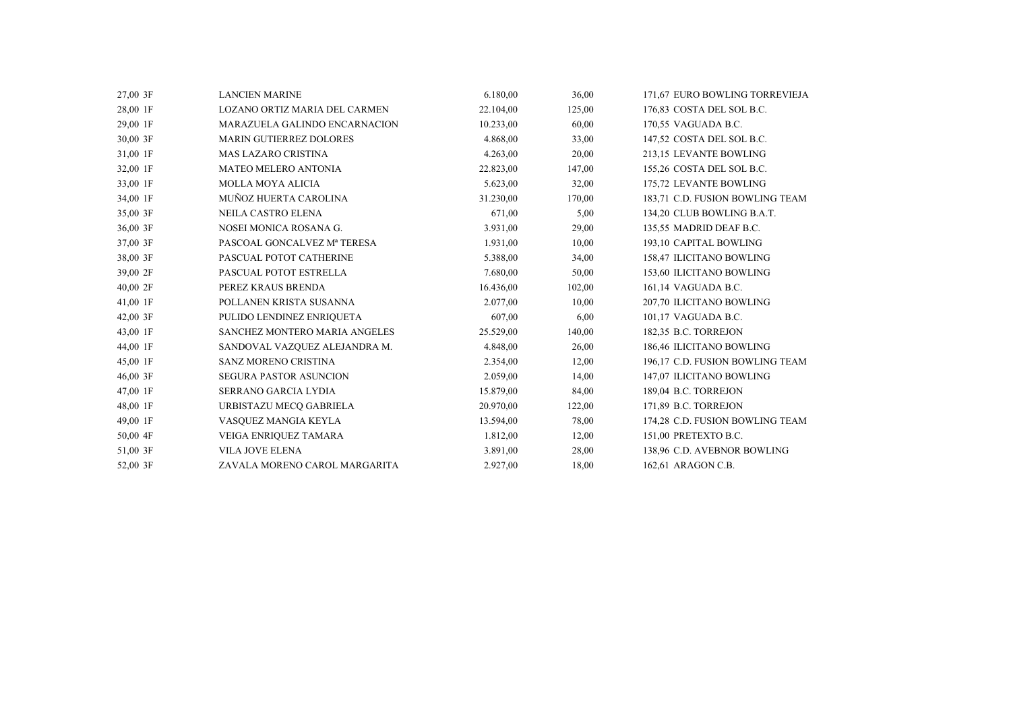| 27,00 3F | <b>LANCIEN MARINE</b>         | 6.180,00  | 36,00  | 171,67 EURO BOWLING TORREVIEJA  |
|----------|-------------------------------|-----------|--------|---------------------------------|
| 28,00 1F | LOZANO ORTIZ MARIA DEL CARMEN | 22.104,00 | 125,00 | 176,83 COSTA DEL SOL B.C.       |
| 29,00 1F | MARAZUELA GALINDO ENCARNACION | 10.233,00 | 60,00  | 170,55 VAGUADA B.C.             |
| 30,00 3F | MARIN GUTIERREZ DOLORES       | 4.868,00  | 33,00  | 147,52 COSTA DEL SOL B.C.       |
| 31,00 1F | <b>MAS LAZARO CRISTINA</b>    | 4.263,00  | 20,00  | 213,15 LEVANTE BOWLING          |
| 32,00 1F | <b>MATEO MELERO ANTONIA</b>   | 22.823,00 | 147,00 | 155,26 COSTA DEL SOL B.C.       |
| 33,00 1F | <b>MOLLA MOYA ALICIA</b>      | 5.623,00  | 32,00  | 175,72 LEVANTE BOWLING          |
| 34,00 1F | MUÑOZ HUERTA CAROLINA         | 31.230,00 | 170,00 | 183,71 C.D. FUSION BOWLING TEAM |
| 35,00 3F | <b>NEILA CASTRO ELENA</b>     | 671,00    | 5,00   | 134,20 CLUB BOWLING B.A.T.      |
| 36,00 3F | NOSEI MONICA ROSANA G.        | 3.931,00  | 29,00  | 135,55 MADRID DEAF B.C.         |
| 37,00 3F | PASCOAL GONCALVEZ Mª TERESA   | 1.931,00  | 10,00  | 193,10 CAPITAL BOWLING          |
| 38,00 3F | PASCUAL POTOT CATHERINE       | 5.388,00  | 34,00  | 158,47 ILICITANO BOWLING        |
| 39,00 2F | PASCUAL POTOT ESTRELLA        | 7.680,00  | 50,00  | 153,60 ILICITANO BOWLING        |
| 40,00 2F | PEREZ KRAUS BRENDA            | 16.436,00 | 102,00 | 161,14 VAGUADA B.C.             |
| 41,00 1F | POLLANEN KRISTA SUSANNA       | 2.077,00  | 10,00  | 207,70 ILICITANO BOWLING        |
| 42,00 3F | PULIDO LENDINEZ ENRIQUETA     | 607,00    | 6,00   | 101,17 VAGUADA B.C.             |
| 43,00 1F | SANCHEZ MONTERO MARIA ANGELES | 25.529,00 | 140,00 | 182,35 B.C. TORREJON            |
| 44,00 1F | SANDOVAL VAZQUEZ ALEJANDRA M. | 4.848,00  | 26,00  | 186,46 ILICITANO BOWLING        |
| 45,00 1F | SANZ MORENO CRISTINA          | 2.354,00  | 12,00  | 196,17 C.D. FUSION BOWLING TEAM |
| 46,00 3F | <b>SEGURA PASTOR ASUNCION</b> | 2.059,00  | 14,00  | 147,07 ILICITANO BOWLING        |
| 47,00 1F | SERRANO GARCIA LYDIA          | 15.879,00 | 84,00  | 189,04 B.C. TORREJON            |
| 48,00 1F | URBISTAZU MECQ GABRIELA       | 20.970,00 | 122,00 | 171,89 B.C. TORREJON            |
| 49,00 1F | VASQUEZ MANGIA KEYLA          | 13.594,00 | 78,00  | 174,28 C.D. FUSION BOWLING TEAM |
| 50,00 4F | VEIGA ENRIQUEZ TAMARA         | 1.812,00  | 12,00  | 151,00 PRETEXTO B.C.            |
| 51,00 3F | <b>VILA JOVE ELENA</b>        | 3.891,00  | 28,00  | 138,96 C.D. AVEBNOR BOWLING     |
| 52,00 3F | ZAVALA MORENO CAROL MARGARITA | 2.927,00  | 18.00  | 162.61 ARAGON C.B.              |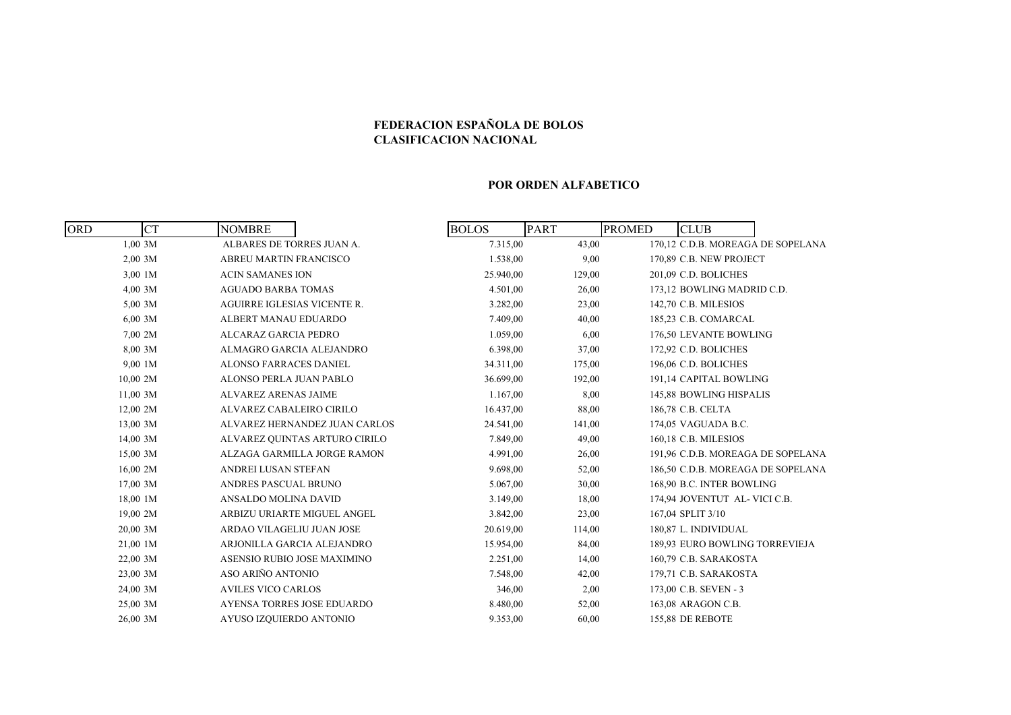## **FEDERACION ESPAÑOLA DE BOLOS CLASIFICACION NACIONAL**

#### **POR ORDEN ALFABETICO**

| <b>ORD</b> | <b>CT</b> | <b>NOMBRE</b>                      |                               | <b>BOLOS</b> | <b>PART</b> | <b>PROMED</b> | <b>CLUB</b>                       |  |
|------------|-----------|------------------------------------|-------------------------------|--------------|-------------|---------------|-----------------------------------|--|
|            | $1,00$ 3M | ALBARES DE TORRES JUAN A.          |                               | 7.315,00     | 43,00       |               | 170,12 C.D.B. MOREAGA DE SOPELANA |  |
|            | 2,00,3M   | <b>ABREU MARTIN FRANCISCO</b>      |                               | 1.538,00     | 9,00        |               | 170,89 C.B. NEW PROJECT           |  |
|            | 3,00 1M   | <b>ACIN SAMANES ION</b>            |                               | 25.940,00    | 129,00      |               | 201,09 C.D. BOLICHES              |  |
|            | $4,00$ 3M | <b>AGUADO BARBA TOMAS</b>          |                               | 4.501,00     | 26,00       |               | 173,12 BOWLING MADRID C.D.        |  |
|            | 5,00 3M   | <b>AGUIRRE IGLESIAS VICENTE R.</b> |                               | 3.282,00     | 23,00       |               | 142,70 C.B. MILESIOS              |  |
|            | $6,00$ 3M | ALBERT MANAU EDUARDO               |                               | 7.409,00     | 40,00       |               | 185,23 C.B. COMARCAL              |  |
|            | 7,00 2M   | ALCARAZ GARCIA PEDRO               |                               | 1.059,00     | 6,00        |               | 176,50 LEVANTE BOWLING            |  |
|            | 8,00 3M   | ALMAGRO GARCIA ALEJANDRO           |                               | 6.398,00     | 37,00       |               | 172,92 C.D. BOLICHES              |  |
|            | 9,00 1M   | <b>ALONSO FARRACES DANIEL</b>      |                               | 34.311,00    | 175,00      |               | 196,06 C.D. BOLICHES              |  |
|            | 10,00 2M  | ALONSO PERLA JUAN PABLO            |                               | 36.699,00    | 192,00      |               | 191,14 CAPITAL BOWLING            |  |
|            | 11,00 3M  | <b>ALVAREZ ARENAS JAIME</b>        |                               | 1.167,00     | 8,00        |               | 145,88 BOWLING HISPALIS           |  |
|            | 12,00 2M  | ALVAREZ CABALEIRO CIRILO           |                               | 16.437,00    | 88,00       |               | 186,78 C.B. CELTA                 |  |
|            | 13,00 3M  |                                    | ALVAREZ HERNANDEZ JUAN CARLOS | 24.541,00    | 141,00      |               | 174,05 VAGUADA B.C.               |  |
|            | 14,00 3M  |                                    | ALVAREZ QUINTAS ARTURO CIRILO | 7.849,00     | 49,00       |               | 160,18 C.B. MILESIOS              |  |
|            | 15,00 3M  |                                    | ALZAGA GARMILLA JORGE RAMON   | 4.991,00     | 26,00       |               | 191,96 C.D.B. MOREAGA DE SOPELANA |  |
|            | 16,00 2M  | ANDREI LUSAN STEFAN                |                               | 9.698,00     | 52,00       |               | 186,50 C.D.B. MOREAGA DE SOPELANA |  |
|            | 17,00 3M  | ANDRES PASCUAL BRUNO               |                               | 5.067,00     | 30,00       |               | 168,90 B.C. INTER BOWLING         |  |
|            | 18,00 1M  | ANSALDO MOLINA DAVID               |                               | 3.149,00     | 18,00       |               | 174,94 JOVENTUT AL- VICI C.B.     |  |
|            | 19,00 2M  |                                    | ARBIZU URIARTE MIGUEL ANGEL   | 3.842,00     | 23,00       |               | 167,04 SPLIT 3/10                 |  |
|            | 20.00 3M  | ARDAO VILAGELIU JUAN JOSE          |                               | 20.619,00    | 114,00      |               | 180.87 L. INDIVIDUAL              |  |
|            | 21,00 1M  |                                    | ARJONILLA GARCIA ALEJANDRO    | 15.954,00    | 84,00       |               | 189,93 EURO BOWLING TORREVIEJA    |  |
|            | 22,00 3M  |                                    | ASENSIO RUBIO JOSE MAXIMINO   | 2.251,00     | 14,00       |               | 160,79 C.B. SARAKOSTA             |  |
|            | 23,00 3M  | ASO ARIÑO ANTONIO                  |                               | 7.548,00     | 42,00       |               | 179,71 C.B. SARAKOSTA             |  |
|            | 24,00 3M  | <b>AVILES VICO CARLOS</b>          |                               | 346,00       | 2,00        |               | 173,00 C.B. SEVEN - 3             |  |
|            | 25,00 3M  |                                    | AYENSA TORRES JOSE EDUARDO    | 8.480,00     | 52,00       |               | 163,08 ARAGON C.B.                |  |
|            | 26,00 3M  | AYUSO IZQUIERDO ANTONIO            |                               | 9.353,00     | 60,00       |               | 155,88 DE REBOTE                  |  |
|            |           |                                    |                               |              |             |               |                                   |  |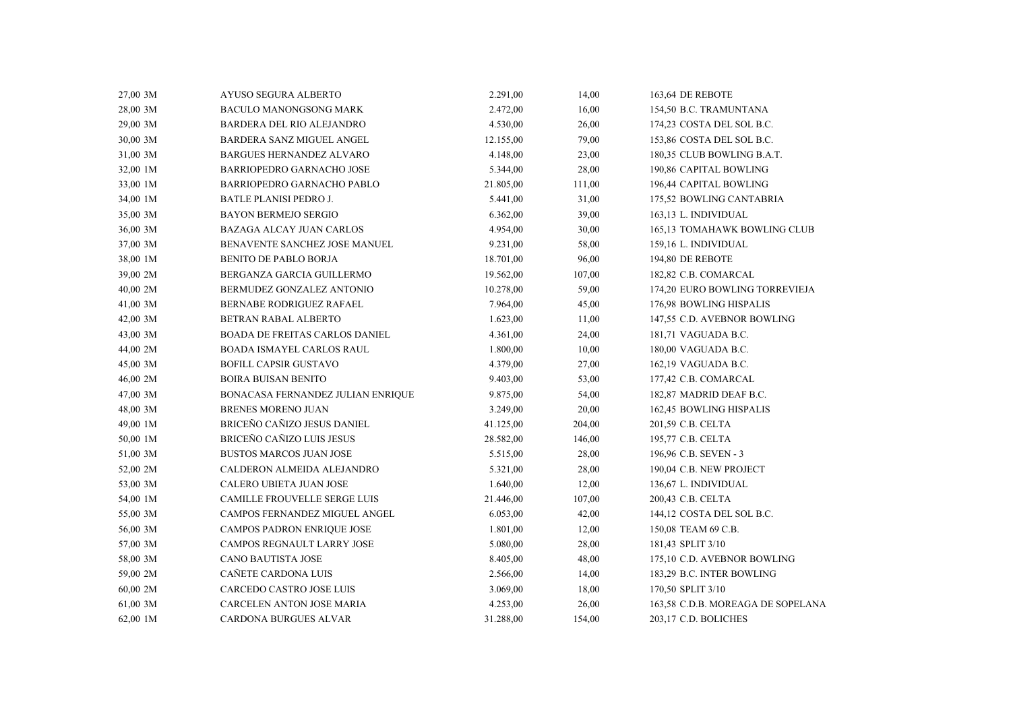| 27,00 3M | AYUSO SEGURA ALBERTO              | 2.291,00  | 14,00  | 163,64 DE REBOTE                  |
|----------|-----------------------------------|-----------|--------|-----------------------------------|
| 28,00 3M | <b>BACULO MANONGSONG MARK</b>     | 2.472,00  | 16,00  | 154,50 B.C. TRAMUNTANA            |
| 29,00 3M | BARDERA DEL RIO ALEJANDRO         | 4.530,00  | 26,00  | 174,23 COSTA DEL SOL B.C.         |
| 30,00 3M | BARDERA SANZ MIGUEL ANGEL         | 12.155,00 | 79,00  | 153,86 COSTA DEL SOL B.C.         |
| 31,00 3M | BARGUES HERNANDEZ ALVARO          | 4.148,00  | 23,00  | 180,35 CLUB BOWLING B.A.T.        |
| 32,00 1M | BARRIOPEDRO GARNACHO JOSE         | 5.344,00  | 28,00  | 190,86 CAPITAL BOWLING            |
| 33,00 1M | BARRIOPEDRO GARNACHO PABLO        | 21.805,00 | 111,00 | 196,44 CAPITAL BOWLING            |
| 34,00 1M | <b>BATLE PLANISI PEDRO J.</b>     | 5.441,00  | 31,00  | 175,52 BOWLING CANTABRIA          |
| 35,00 3M | <b>BAYON BERMEJO SERGIO</b>       | 6.362,00  | 39,00  | 163,13 L. INDIVIDUAL              |
| 36,00 3M | <b>BAZAGA ALCAY JUAN CARLOS</b>   | 4.954,00  | 30,00  | 165,13 TOMAHAWK BOWLING CLUB      |
| 37,00 3M | BENAVENTE SANCHEZ JOSE MANUEL     | 9.231,00  | 58,00  | 159,16 L. INDIVIDUAL              |
| 38,00 1M | <b>BENITO DE PABLO BORJA</b>      | 18.701,00 | 96,00  | 194,80 DE REBOTE                  |
| 39,00 2M | BERGANZA GARCIA GUILLERMO         | 19.562,00 | 107,00 | 182,82 C.B. COMARCAL              |
| 40,00 2M | BERMUDEZ GONZALEZ ANTONIO         | 10.278,00 | 59,00  | 174,20 EURO BOWLING TORREVIEJA    |
| 41,00 3M | BERNABE RODRIGUEZ RAFAEL          | 7.964,00  | 45,00  | 176,98 BOWLING HISPALIS           |
| 42,00 3M | BETRAN RABAL ALBERTO              | 1.623,00  | 11,00  | 147,55 C.D. AVEBNOR BOWLING       |
| 43,00 3M | BOADA DE FREITAS CARLOS DANIEL    | 4.361,00  | 24,00  | 181,71 VAGUADA B.C.               |
| 44,00 2M | <b>BOADA ISMAYEL CARLOS RAUL</b>  | 1.800,00  | 10,00  | 180,00 VAGUADA B.C.               |
| 45,00 3M | <b>BOFILL CAPSIR GUSTAVO</b>      | 4.379,00  | 27,00  | 162,19 VAGUADA B.C.               |
| 46,00 2M | <b>BOIRA BUISAN BENITO</b>        | 9.403,00  | 53,00  | 177,42 C.B. COMARCAL              |
| 47,00 3M | BONACASA FERNANDEZ JULIAN ENRIQUE | 9.875,00  | 54,00  | 182,87 MADRID DEAF B.C.           |
| 48,00 3M | <b>BRENES MORENO JUAN</b>         | 3.249,00  | 20,00  | 162,45 BOWLING HISPALIS           |
| 49,00 1M | BRICEÑO CAÑIZO JESUS DANIEL       | 41.125,00 | 204,00 | 201,59 C.B. CELTA                 |
| 50,00 1M | <b>BRICEÑO CAÑIZO LUIS JESUS</b>  | 28.582,00 | 146,00 | 195,77 C.B. CELTA                 |
| 51,00 3M | <b>BUSTOS MARCOS JUAN JOSE</b>    | 5.515,00  | 28,00  | 196,96 C.B. SEVEN - 3             |
| 52,00 2M | CALDERON ALMEIDA ALEJANDRO        | 5.321,00  | 28,00  | 190,04 C.B. NEW PROJECT           |
| 53,00 3M | CALERO UBIETA JUAN JOSE           | 1.640,00  | 12,00  | 136,67 L. INDIVIDUAL              |
| 54,00 1M | CAMILLE FROUVELLE SERGE LUIS      | 21.446,00 | 107,00 | 200,43 C.B. CELTA                 |
| 55,00 3M | CAMPOS FERNANDEZ MIGUEL ANGEL     | 6.053,00  | 42,00  | 144,12 COSTA DEL SOL B.C.         |
| 56,00 3M | CAMPOS PADRON ENRIQUE JOSE        | 1.801,00  | 12,00  | 150,08 TEAM 69 C.B.               |
| 57,00 3M | CAMPOS REGNAULT LARRY JOSE        | 5.080,00  | 28,00  | 181,43 SPLIT 3/10                 |
| 58,00 3M | <b>CANO BAUTISTA JOSE</b>         | 8.405,00  | 48,00  | 175,10 C.D. AVEBNOR BOWLING       |
| 59,00 2M | CAÑETE CARDONA LUIS               | 2.566,00  | 14,00  | 183,29 B.C. INTER BOWLING         |
| 60,00 2M | CARCEDO CASTRO JOSE LUIS          | 3.069,00  | 18,00  | 170,50 SPLIT 3/10                 |
| 61,00 3M | CARCELEN ANTON JOSE MARIA         | 4.253,00  | 26,00  | 163,58 C.D.B. MOREAGA DE SOPELANA |
| 62,00 1M | <b>CARDONA BURGUES ALVAR</b>      | 31.288,00 | 154,00 | 203,17 C.D. BOLICHES              |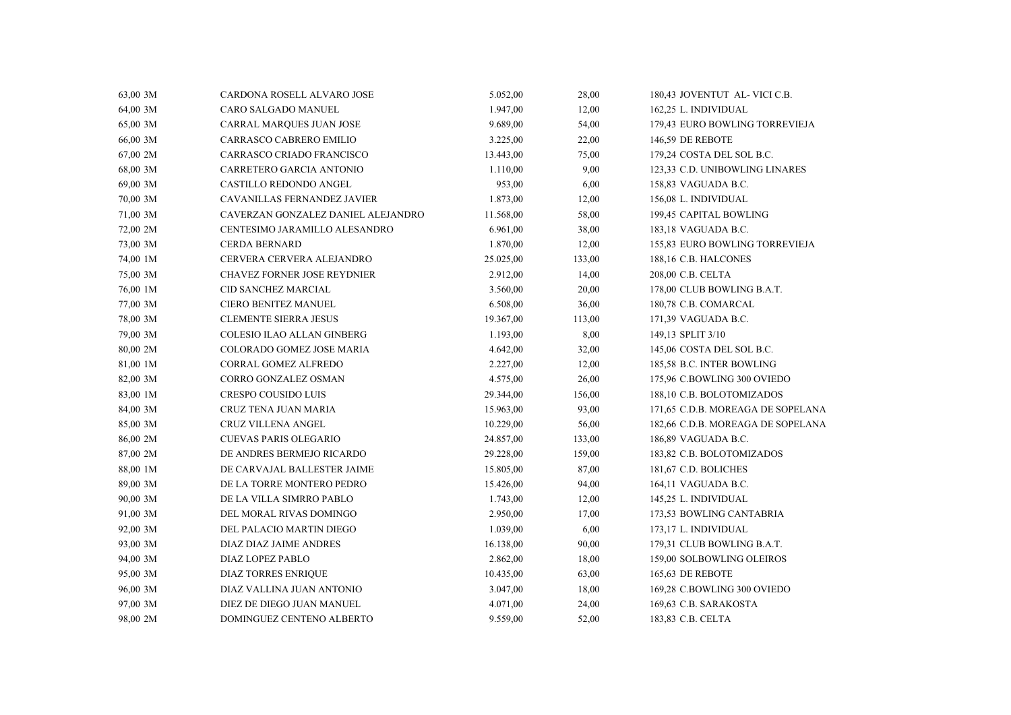| 63,00 3M | CARDONA ROSELL ALVARO JOSE         | 5.052,00  | 28,00  | 180,43 JOVENTUT AL- VICI C.B.     |
|----------|------------------------------------|-----------|--------|-----------------------------------|
| 64,00 3M | CARO SALGADO MANUEL                | 1.947,00  | 12,00  | 162,25 L. INDIVIDUAL              |
| 65,00 3M | <b>CARRAL MARQUES JUAN JOSE</b>    | 9.689,00  | 54,00  | 179,43 EURO BOWLING TORREVIEJA    |
| 66,00 3M | CARRASCO CABRERO EMILIO            | 3.225,00  | 22,00  | 146,59 DE REBOTE                  |
| 67,00 2M | CARRASCO CRIADO FRANCISCO          | 13.443,00 | 75,00  | 179,24 COSTA DEL SOL B.C.         |
| 68,00 3M | CARRETERO GARCIA ANTONIO           | 1.110,00  | 9,00   | 123,33 C.D. UNIBOWLING LINARES    |
| 69,00 3M | CASTILLO REDONDO ANGEL             | 953,00    | 6,00   | 158,83 VAGUADA B.C.               |
| 70,00 3M | CAVANILLAS FERNANDEZ JAVIER        | 1.873,00  | 12,00  | 156,08 L. INDIVIDUAL              |
| 71,00 3M | CAVERZAN GONZALEZ DANIEL ALEJANDRO | 11.568,00 | 58,00  | 199,45 CAPITAL BOWLING            |
| 72,00 2M | CENTESIMO JARAMILLO ALESANDRO      | 6.961,00  | 38,00  | 183,18 VAGUADA B.C.               |
| 73,00 3M | <b>CERDA BERNARD</b>               | 1.870,00  | 12,00  | 155,83 EURO BOWLING TORREVIEJA    |
| 74,00 1M | CERVERA CERVERA ALEJANDRO          | 25.025,00 | 133,00 | 188,16 C.B. HALCONES              |
| 75,00 3M | <b>CHAVEZ FORNER JOSE REYDNIER</b> | 2.912,00  | 14,00  | 208,00 C.B. CELTA                 |
| 76,00 1M | CID SANCHEZ MARCIAL                | 3.560,00  | 20,00  | 178,00 CLUB BOWLING B.A.T.        |
| 77,00 3M | CIERO BENITEZ MANUEL               | 6.508,00  | 36,00  | 180,78 C.B. COMARCAL              |
| 78,00 3M | <b>CLEMENTE SIERRA JESUS</b>       | 19.367,00 | 113,00 | 171,39 VAGUADA B.C.               |
| 79,00 3M | COLESIO ILAO ALLAN GINBERG         | 1.193,00  | 8,00   | 149,13 SPLIT 3/10                 |
| 80,00 2M | COLORADO GOMEZ JOSE MARIA          | 4.642,00  | 32,00  | 145,06 COSTA DEL SOL B.C.         |
| 81,00 1M | CORRAL GOMEZ ALFREDO               | 2.227,00  | 12,00  | 185,58 B.C. INTER BOWLING         |
| 82,00 3M | CORRO GONZALEZ OSMAN               | 4.575,00  | 26,00  | 175,96 C.BOWLING 300 OVIEDO       |
| 83,00 1M | <b>CRESPO COUSIDO LUIS</b>         | 29.344,00 | 156,00 | 188,10 C.B. BOLOTOMIZADOS         |
| 84,00 3M | CRUZ TENA JUAN MARIA               | 15.963,00 | 93,00  | 171,65 C.D.B. MOREAGA DE SOPELANA |
| 85,00 3M | <b>CRUZ VILLENA ANGEL</b>          | 10.229,00 | 56,00  | 182,66 C.D.B. MOREAGA DE SOPELANA |
| 86,00 2M | <b>CUEVAS PARIS OLEGARIO</b>       | 24.857,00 | 133,00 | 186,89 VAGUADA B.C.               |
| 87,00 2M | DE ANDRES BERMEJO RICARDO          | 29.228,00 | 159,00 | 183,82 C.B. BOLOTOMIZADOS         |
| 88,00 1M | DE CARVAJAL BALLESTER JAIME        | 15.805,00 | 87,00  | 181,67 C.D. BOLICHES              |
| 89,00 3M | DE LA TORRE MONTERO PEDRO          | 15.426,00 | 94,00  | 164,11 VAGUADA B.C.               |
| 90,00 3M | DE LA VILLA SIMRRO PABLO           | 1.743,00  | 12,00  | 145,25 L. INDIVIDUAL              |
| 91,00 3M | DEL MORAL RIVAS DOMINGO            | 2.950,00  | 17,00  | 173,53 BOWLING CANTABRIA          |
| 92,00 3M | DEL PALACIO MARTIN DIEGO           | 1.039,00  | 6,00   | 173,17 L. INDIVIDUAL              |
| 93,00 3M | DIAZ DIAZ JAIME ANDRES             | 16.138,00 | 90,00  | 179,31 CLUB BOWLING B.A.T.        |
| 94,00 3M | DIAZ LOPEZ PABLO                   | 2.862,00  | 18,00  | 159,00 SOLBOWLING OLEIROS         |
| 95,00 3M | <b>DIAZ TORRES ENRIQUE</b>         | 10.435,00 | 63,00  | 165,63 DE REBOTE                  |
| 96,00 3M | DIAZ VALLINA JUAN ANTONIO          | 3.047,00  | 18,00  | 169,28 C.BOWLING 300 OVIEDO       |
| 97,00 3M | DIEZ DE DIEGO JUAN MANUEL          | 4.071,00  | 24,00  | 169,63 C.B. SARAKOSTA             |
| 98,00 2M | DOMINGUEZ CENTENO ALBERTO          | 9.559,00  | 52,00  | 183,83 C.B. CELTA                 |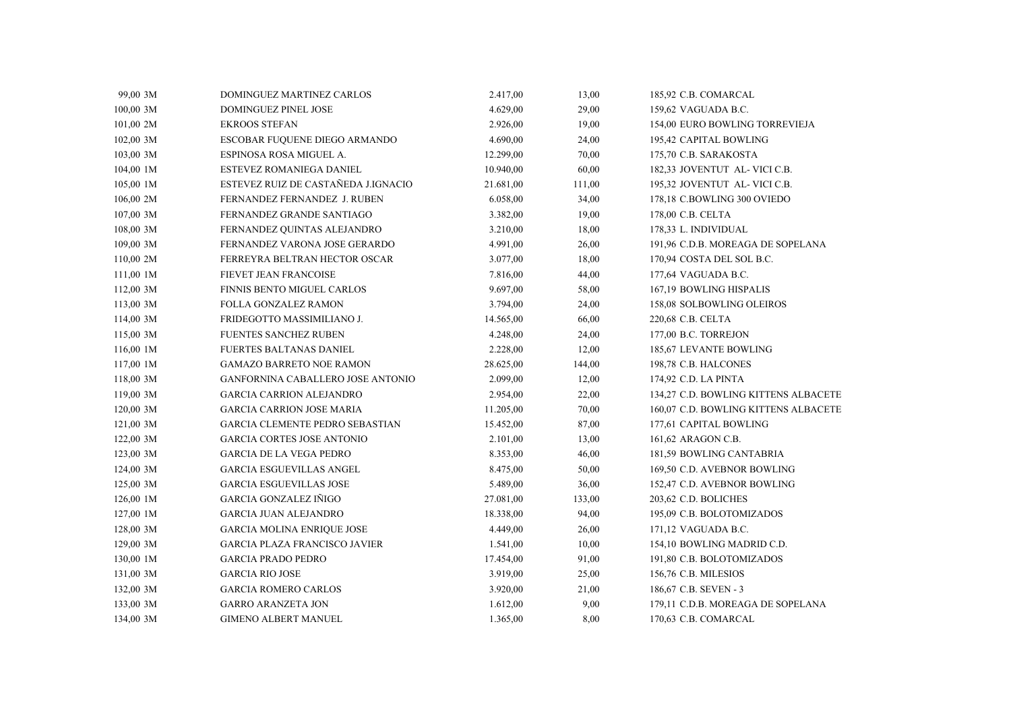| 99,00 3M  | DOMINGUEZ MARTINEZ CARLOS              | 2.417,00  | 13,00  | 185,92 C.B. COMARCAL                 |
|-----------|----------------------------------------|-----------|--------|--------------------------------------|
| 100,00 3M | <b>DOMINGUEZ PINEL JOSE</b>            | 4.629,00  | 29,00  | 159,62 VAGUADA B.C.                  |
| 101,00 2M | <b>EKROOS STEFAN</b>                   | 2.926,00  | 19,00  | 154,00 EURO BOWLING TORREVIEJA       |
| 102,00 3M | ESCOBAR FUQUENE DIEGO ARMANDO          | 4.690,00  | 24,00  | 195,42 CAPITAL BOWLING               |
| 103,00 3M | ESPINOSA ROSA MIGUEL A.                | 12.299,00 | 70,00  | 175,70 C.B. SARAKOSTA                |
| 104,00 1M | ESTEVEZ ROMANIEGA DANIEL               | 10.940,00 | 60,00  | 182,33 JOVENTUT AL- VICI C.B.        |
| 105,00 1M | ESTEVEZ RUIZ DE CASTAÑEDA J.IGNACIO    | 21.681,00 | 111,00 | 195,32 JOVENTUT AL-VICI C.B.         |
| 106,00 2M | FERNANDEZ FERNANDEZ J. RUBEN           | 6.058,00  | 34,00  | 178,18 C.BOWLING 300 OVIEDO          |
| 107,00 3M | FERNANDEZ GRANDE SANTIAGO              | 3.382,00  | 19,00  | 178,00 C.B. CELTA                    |
| 108,00 3M | FERNANDEZ QUINTAS ALEJANDRO            | 3.210,00  | 18,00  | 178,33 L. INDIVIDUAL                 |
| 109,00 3M | FERNANDEZ VARONA JOSE GERARDO          | 4.991,00  | 26,00  | 191,96 C.D.B. MOREAGA DE SOPELANA    |
| 110,00 2M | FERREYRA BELTRAN HECTOR OSCAR          | 3.077,00  | 18,00  | 170,94 COSTA DEL SOL B.C.            |
| 111,00 1M | FIEVET JEAN FRANCOISE                  | 7.816,00  | 44,00  | 177,64 VAGUADA B.C.                  |
| 112,00 3M | <b>FINNIS BENTO MIGUEL CARLOS</b>      | 9.697,00  | 58,00  | 167,19 BOWLING HISPALIS              |
| 113,00 3M | FOLLA GONZALEZ RAMON                   | 3.794,00  | 24,00  | 158,08 SOLBOWLING OLEIROS            |
| 114,00 3M | FRIDEGOTTO MASSIMILIANO J.             | 14.565,00 | 66,00  | 220,68 C.B. CELTA                    |
| 115,00 3M | FUENTES SANCHEZ RUBEN                  | 4.248,00  | 24,00  | 177,00 B.C. TORREJON                 |
| 116,00 1M | FUERTES BALTANAS DANIEL                | 2.228,00  | 12,00  | 185,67 LEVANTE BOWLING               |
| 117,00 1M | <b>GAMAZO BARRETO NOE RAMON</b>        | 28.625,00 | 144,00 | 198,78 C.B. HALCONES                 |
| 118,00 3M | GANFORNINA CABALLERO JOSE ANTONIO      | 2.099,00  | 12,00  | 174,92 C.D. LA PINTA                 |
| 119,00 3M | <b>GARCIA CARRION ALEJANDRO</b>        | 2.954,00  | 22,00  | 134,27 C.D. BOWLING KITTENS ALBACETE |
| 120,00 3M | <b>GARCIA CARRION JOSE MARIA</b>       | 11.205,00 | 70,00  | 160,07 C.D. BOWLING KITTENS ALBACETE |
| 121,00 3M | <b>GARCIA CLEMENTE PEDRO SEBASTIAN</b> | 15.452,00 | 87,00  | 177,61 CAPITAL BOWLING               |
| 122,00 3M | <b>GARCIA CORTES JOSE ANTONIO</b>      | 2.101,00  | 13,00  | 161,62 ARAGON C.B.                   |
| 123,00 3M | <b>GARCIA DE LA VEGA PEDRO</b>         | 8.353,00  | 46,00  | 181,59 BOWLING CANTABRIA             |
| 124,00 3M | <b>GARCIA ESGUEVILLAS ANGEL</b>        | 8.475,00  | 50,00  | 169,50 C.D. AVEBNOR BOWLING          |
| 125,00 3M | <b>GARCIA ESGUEVILLAS JOSE</b>         | 5.489,00  | 36,00  | 152,47 C.D. AVEBNOR BOWLING          |
| 126,00 1M | <b>GARCIA GONZALEZ IÑIGO</b>           | 27.081,00 | 133,00 | 203,62 C.D. BOLICHES                 |
| 127,00 1M | GARCIA JUAN ALEJANDRO                  | 18.338,00 | 94,00  | 195,09 C.B. BOLOTOMIZADOS            |
| 128,00 3M | <b>GARCIA MOLINA ENRIQUE JOSE</b>      | 4.449,00  | 26,00  | 171,12 VAGUADA B.C.                  |
| 129,00 3M | <b>GARCIA PLAZA FRANCISCO JAVIER</b>   | 1.541,00  | 10,00  | 154,10 BOWLING MADRID C.D.           |
| 130,00 1M | <b>GARCIA PRADO PEDRO</b>              | 17.454,00 | 91,00  | 191,80 C.B. BOLOTOMIZADOS            |
| 131,00 3M | <b>GARCIA RIO JOSE</b>                 | 3.919,00  | 25,00  | 156,76 C.B. MILESIOS                 |
| 132,00 3M | <b>GARCIA ROMERO CARLOS</b>            | 3.920,00  | 21,00  | 186,67 C.B. SEVEN - 3                |
| 133,00 3M | <b>GARRO ARANZETA JON</b>              | 1.612,00  | 9,00   | 179,11 C.D.B. MOREAGA DE SOPELANA    |
| 134,00 3M | <b>GIMENO ALBERT MANUEL</b>            | 1.365,00  | 8,00   | 170,63 C.B. COMARCAL                 |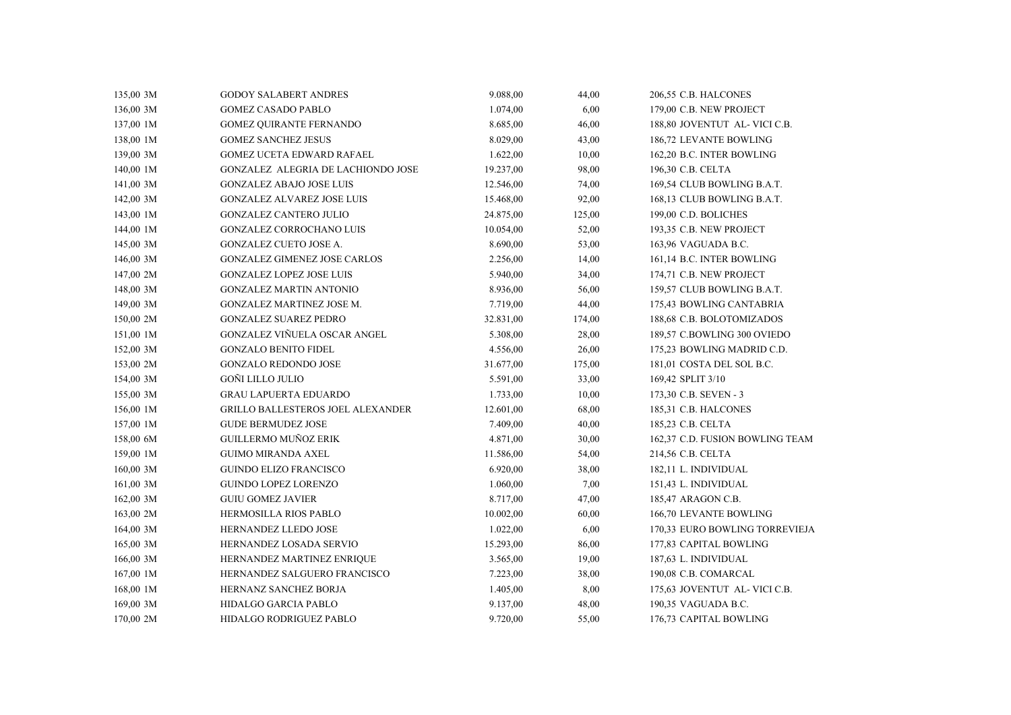| 135,00 3M | <b>GODOY SALABERT ANDRES</b>             | 9.088,00  | 44,00  | 206,55 C.B. HALCONES            |  |
|-----------|------------------------------------------|-----------|--------|---------------------------------|--|
| 136,00 3M | <b>GOMEZ CASADO PABLO</b>                | 1.074,00  | 6,00   | 179,00 C.B. NEW PROJECT         |  |
| 137,00 1M | <b>GOMEZ QUIRANTE FERNANDO</b>           | 8.685,00  | 46,00  | 188,80 JOVENTUT AL- VICI C.B.   |  |
| 138,00 1M | <b>GOMEZ SANCHEZ JESUS</b>               | 8.029,00  | 43,00  | 186,72 LEVANTE BOWLING          |  |
| 139,00 3M | <b>GOMEZ UCETA EDWARD RAFAEL</b>         | 1.622,00  | 10,00  | 162,20 B.C. INTER BOWLING       |  |
| 140,00 1M | GONZALEZ ALEGRIA DE LACHIONDO JOSE       | 19.237,00 | 98,00  | 196,30 C.B. CELTA               |  |
| 141,00 3M | <b>GONZALEZ ABAJO JOSE LUIS</b>          | 12.546,00 | 74,00  | 169,54 CLUB BOWLING B.A.T.      |  |
| 142,00 3M | <b>GONZALEZ ALVAREZ JOSE LUIS</b>        | 15.468,00 | 92,00  | 168,13 CLUB BOWLING B.A.T.      |  |
| 143,00 1M | <b>GONZALEZ CANTERO JULIO</b>            | 24.875,00 | 125,00 | 199,00 C.D. BOLICHES            |  |
| 144,00 1M | GONZALEZ CORROCHANO LUIS                 | 10.054,00 | 52,00  | 193,35 C.B. NEW PROJECT         |  |
| 145,00 3M | GONZALEZ CUETO JOSE A.                   | 8.690,00  | 53,00  | 163,96 VAGUADA B.C.             |  |
| 146,00 3M | <b>GONZALEZ GIMENEZ JOSE CARLOS</b>      | 2.256,00  | 14,00  | 161,14 B.C. INTER BOWLING       |  |
| 147,00 2M | <b>GONZALEZ LOPEZ JOSE LUIS</b>          | 5.940,00  | 34,00  | 174,71 C.B. NEW PROJECT         |  |
| 148,00 3M | <b>GONZALEZ MARTIN ANTONIO</b>           | 8.936,00  | 56,00  | 159,57 CLUB BOWLING B.A.T.      |  |
| 149,00 3M | GONZALEZ MARTINEZ JOSE M.                | 7.719,00  | 44,00  | 175,43 BOWLING CANTABRIA        |  |
| 150,00 2M | <b>GONZALEZ SUAREZ PEDRO</b>             | 32.831,00 | 174,00 | 188,68 C.B. BOLOTOMIZADOS       |  |
| 151,00 1M | GONZALEZ VIÑUELA OSCAR ANGEL             | 5.308,00  | 28,00  | 189,57 C.BOWLING 300 OVIEDO     |  |
| 152,00 3M | <b>GONZALO BENITO FIDEL</b>              | 4.556,00  | 26,00  | 175,23 BOWLING MADRID C.D.      |  |
| 153,00 2M | <b>GONZALO REDONDO JOSE</b>              | 31.677,00 | 175,00 | 181,01 COSTA DEL SOL B.C.       |  |
| 154,00 3M | GOÑI LILLO JULIO                         | 5.591,00  | 33,00  | 169,42 SPLIT 3/10               |  |
| 155,00 3M | <b>GRAU LAPUERTA EDUARDO</b>             | 1.733,00  | 10,00  | 173,30 C.B. SEVEN - 3           |  |
| 156,00 1M | <b>GRILLO BALLESTEROS JOEL ALEXANDER</b> | 12.601,00 | 68,00  | 185,31 C.B. HALCONES            |  |
| 157,00 1M | <b>GUDE BERMUDEZ JOSE</b>                | 7.409,00  | 40,00  | 185,23 C.B. CELTA               |  |
| 158,00 6M | GUILLERMO MUÑOZ ERIK                     | 4.871,00  | 30,00  | 162,37 C.D. FUSION BOWLING TEAM |  |
| 159,00 1M | <b>GUIMO MIRANDA AXEL</b>                | 11.586,00 | 54,00  | 214,56 C.B. CELTA               |  |
| 160,00 3M | <b>GUINDO ELIZO FRANCISCO</b>            | 6.920,00  | 38,00  | 182,11 L. INDIVIDUAL            |  |
| 161,00 3M | <b>GUINDO LOPEZ LORENZO</b>              | 1.060,00  | 7,00   | 151,43 L. INDIVIDUAL            |  |
| 162,00 3M | <b>GUIU GOMEZ JAVIER</b>                 | 8.717,00  | 47,00  | 185,47 ARAGON C.B.              |  |
| 163,00 2M | HERMOSILLA RIOS PABLO                    | 10.002,00 | 60,00  | 166,70 LEVANTE BOWLING          |  |
| 164,00 3M | HERNANDEZ LLEDO JOSE                     | 1.022,00  | 6,00   | 170,33 EURO BOWLING TORREVIEJA  |  |
| 165,00 3M | HERNANDEZ LOSADA SERVIO                  | 15.293,00 | 86,00  | 177,83 CAPITAL BOWLING          |  |
| 166,00 3M | HERNANDEZ MARTINEZ ENRIQUE               | 3.565,00  | 19,00  | 187,63 L. INDIVIDUAL            |  |
| 167,00 1M | HERNANDEZ SALGUERO FRANCISCO             | 7.223,00  | 38,00  | 190,08 C.B. COMARCAL            |  |
| 168,00 1M | HERNANZ SANCHEZ BORJA                    | 1.405,00  | 8,00   | 175,63 JOVENTUT AL- VICI C.B.   |  |
| 169,00 3M | HIDALGO GARCIA PABLO                     | 9.137,00  | 48,00  | 190,35 VAGUADA B.C.             |  |
| 170,00 2M | <b>HIDALGO RODRIGUEZ PABLO</b>           | 9.720,00  | 55,00  | 176,73 CAPITAL BOWLING          |  |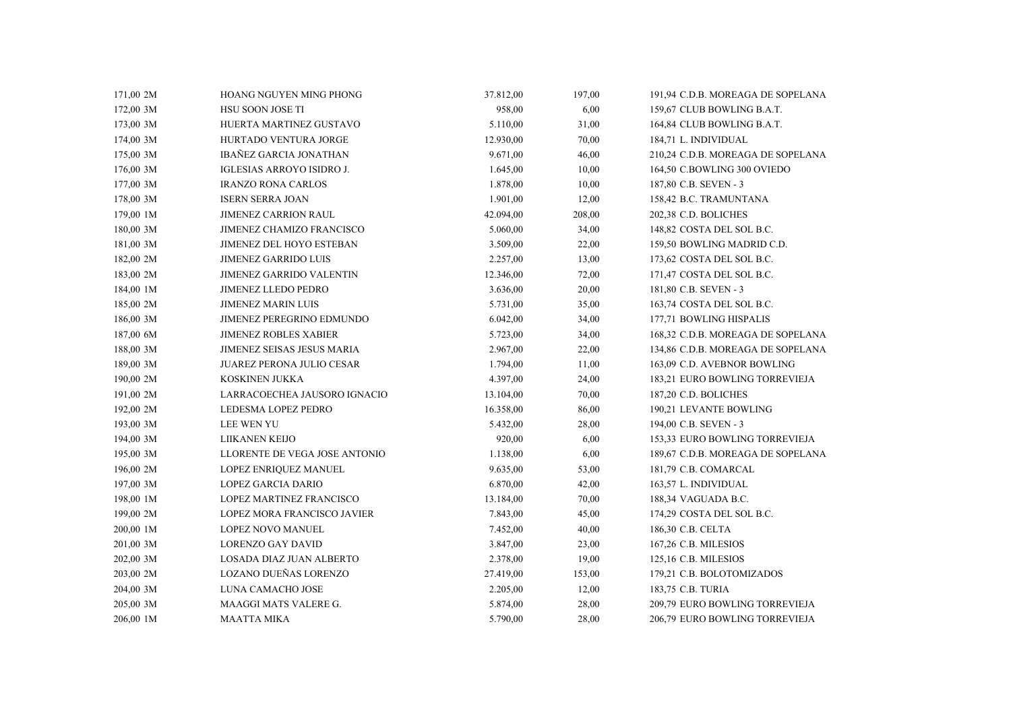| 171,00 2M | HOANG NGUYEN MING PHONG          | 37.812,00 | 197,00 | 191,94 C.D.B. MOREAGA DE SOPELANA |
|-----------|----------------------------------|-----------|--------|-----------------------------------|
| 172,00 3M | <b>HSU SOON JOSE TI</b>          | 958,00    | 6,00   | 159,67 CLUB BOWLING B.A.T.        |
| 173,00 3M | HUERTA MARTINEZ GUSTAVO          | 5.110,00  | 31,00  | 164,84 CLUB BOWLING B.A.T.        |
| 174,00 3M | HURTADO VENTURA JORGE            | 12.930,00 | 70,00  | 184,71 L. INDIVIDUAL              |
| 175,00 3M | <b>IBAÑEZ GARCIA JONATHAN</b>    | 9.671,00  | 46,00  | 210,24 C.D.B. MOREAGA DE SOPELANA |
| 176,00 3M | IGLESIAS ARROYO ISIDRO J.        | 1.645,00  | 10,00  | 164,50 C.BOWLING 300 OVIEDO       |
| 177,00 3M | <b>IRANZO RONA CARLOS</b>        | 1.878,00  | 10,00  | 187,80 C.B. SEVEN - 3             |
| 178,00 3M | <b>ISERN SERRA JOAN</b>          | 1.901,00  | 12,00  | 158,42 B.C. TRAMUNTANA            |
| 179,00 1M | <b>JIMENEZ CARRION RAUL</b>      | 42.094,00 | 208,00 | 202,38 C.D. BOLICHES              |
| 180,00 3M | <b>JIMENEZ CHAMIZO FRANCISCO</b> | 5.060,00  | 34,00  | 148,82 COSTA DEL SOL B.C.         |
| 181,00 3M | <b>JIMENEZ DEL HOYO ESTEBAN</b>  | 3.509,00  | 22,00  | 159,50 BOWLING MADRID C.D.        |
| 182,00 2M | <b>JIMENEZ GARRIDO LUIS</b>      | 2.257,00  | 13,00  | 173,62 COSTA DEL SOL B.C.         |
| 183,00 2M | <b>JIMENEZ GARRIDO VALENTIN</b>  | 12.346,00 | 72,00  | 171,47 COSTA DEL SOL B.C.         |
| 184,00 1M | <b>JIMENEZ LLEDO PEDRO</b>       | 3.636,00  | 20,00  | 181,80 C.B. SEVEN - 3             |
| 185,00 2M | <b>JIMENEZ MARIN LUIS</b>        | 5.731,00  | 35,00  | 163,74 COSTA DEL SOL B.C.         |
| 186,00 3M | JIMENEZ PEREGRINO EDMUNDO        | 6.042,00  | 34,00  | 177,71 BOWLING HISPALIS           |
| 187,00 6M | <b>JIMENEZ ROBLES XABIER</b>     | 5.723,00  | 34,00  | 168,32 C.D.B. MOREAGA DE SOPELANA |
| 188,00 3M | JIMENEZ SEISAS JESUS MARIA       | 2.967,00  | 22,00  | 134,86 C.D.B. MOREAGA DE SOPELANA |
| 189,00 3M | <b>JUAREZ PERONA JULIO CESAR</b> | 1.794,00  | 11,00  | 163,09 C.D. AVEBNOR BOWLING       |
| 190,00 2M | KOSKINEN JUKKA                   | 4.397,00  | 24,00  | 183,21 EURO BOWLING TORREVIEJA    |
| 191,00 2M | LARRACOECHEA JAUSORO IGNACIO     | 13.104,00 | 70,00  | 187,20 C.D. BOLICHES              |
| 192,00 2M | LEDESMA LOPEZ PEDRO              | 16.358,00 | 86,00  | 190,21 LEVANTE BOWLING            |
| 193,00 3M | <b>LEE WEN YU</b>                | 5.432,00  | 28,00  | 194,00 C.B. SEVEN - 3             |
| 194,00 3M | LIIKANEN KEIJO                   | 920,00    | 6,00   | 153,33 EURO BOWLING TORREVIEJA    |
| 195,00 3M | LLORENTE DE VEGA JOSE ANTONIO    | 1.138,00  | 6,00   | 189,67 C.D.B. MOREAGA DE SOPELANA |
| 196,00 2M | LOPEZ ENRIQUEZ MANUEL            | 9.635,00  | 53,00  | 181,79 C.B. COMARCAL              |
| 197,00 3M | LOPEZ GARCIA DARIO               | 6.870,00  | 42,00  | 163,57 L. INDIVIDUAL              |
| 198,00 1M | LOPEZ MARTINEZ FRANCISCO         | 13.184,00 | 70,00  | 188,34 VAGUADA B.C.               |
| 199,00 2M | LOPEZ MORA FRANCISCO JAVIER      | 7.843,00  | 45,00  | 174,29 COSTA DEL SOL B.C.         |
| 200,00 1M | LOPEZ NOVO MANUEL                | 7.452,00  | 40,00  | 186,30 C.B. CELTA                 |
| 201,00 3M | <b>LORENZO GAY DAVID</b>         | 3.847,00  | 23,00  | 167,26 C.B. MILESIOS              |
| 202,00 3M | <b>LOSADA DIAZ JUAN ALBERTO</b>  | 2.378,00  | 19,00  | 125,16 C.B. MILESIOS              |
| 203,00 2M | LOZANO DUEÑAS LORENZO            | 27.419,00 | 153,00 | 179,21 C.B. BOLOTOMIZADOS         |
| 204,00 3M | LUNA CAMACHO JOSE                | 2.205,00  | 12,00  | 183,75 C.B. TURIA                 |
| 205,00 3M | MAAGGI MATS VALERE G.            | 5.874,00  | 28,00  | 209,79 EURO BOWLING TORREVIEJA    |
| 206,00 1M | <b>MAATTA MIKA</b>               | 5.790,00  | 28,00  | 206,79 EURO BOWLING TORREVIEJA    |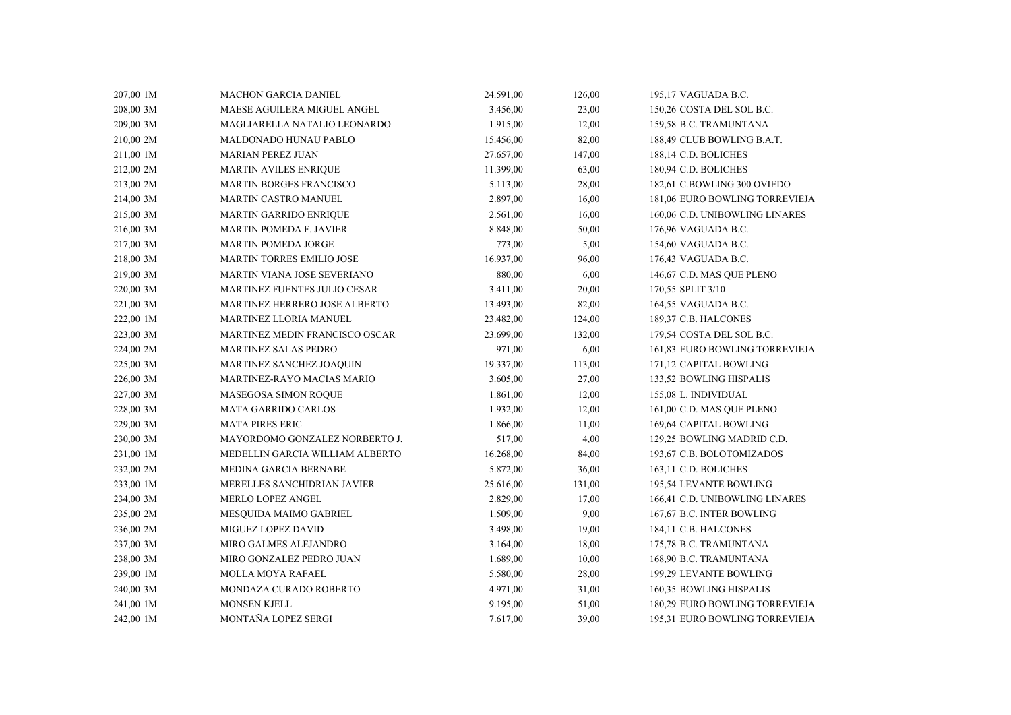| 207,00 1M | <b>MACHON GARCIA DANIEL</b>         | 24.591,00 | 126,00 | 195,17 VAGUADA B.C.            |
|-----------|-------------------------------------|-----------|--------|--------------------------------|
| 208,00 3M | MAESE AGUILERA MIGUEL ANGEL         | 3.456,00  | 23,00  | 150,26 COSTA DEL SOL B.C.      |
| 209,00 3M | MAGLIARELLA NATALIO LEONARDO        | 1.915,00  | 12,00  | 159,58 B.C. TRAMUNTANA         |
| 210,00 2M | MALDONADO HUNAU PABLO               | 15.456,00 | 82,00  | 188,49 CLUB BOWLING B.A.T.     |
| 211,00 1M | <b>MARIAN PEREZ JUAN</b>            | 27.657,00 | 147,00 | 188,14 C.D. BOLICHES           |
| 212,00 2M | <b>MARTIN AVILES ENRIQUE</b>        | 11.399,00 | 63,00  | 180,94 C.D. BOLICHES           |
| 213,00 2M | <b>MARTIN BORGES FRANCISCO</b>      | 5.113,00  | 28,00  | 182,61 C.BOWLING 300 OVIEDO    |
| 214,00 3M | MARTIN CASTRO MANUEL                | 2.897,00  | 16,00  | 181,06 EURO BOWLING TORREVIEJA |
| 215,00 3M | <b>MARTIN GARRIDO ENRIQUE</b>       | 2.561,00  | 16,00  | 160,06 C.D. UNIBOWLING LINARES |
| 216,00 3M | <b>MARTIN POMEDA F. JAVIER</b>      | 8.848,00  | 50,00  | 176,96 VAGUADA B.C.            |
| 217,00 3M | MARTIN POMEDA JORGE                 | 773,00    | 5,00   | 154,60 VAGUADA B.C.            |
| 218,00 3M | MARTIN TORRES EMILIO JOSE           | 16.937,00 | 96,00  | 176,43 VAGUADA B.C.            |
| 219,00 3M | MARTIN VIANA JOSE SEVERIANO         | 880,00    | 6,00   | 146,67 C.D. MAS QUE PLENO      |
| 220,00 3M | <b>MARTINEZ FUENTES JULIO CESAR</b> | 3.411,00  | 20,00  | 170,55 SPLIT 3/10              |
| 221,00 3M | MARTINEZ HERRERO JOSE ALBERTO       | 13.493,00 | 82,00  | 164,55 VAGUADA B.C.            |
| 222,00 1M | MARTINEZ LLORIA MANUEL              | 23.482,00 | 124,00 | 189,37 C.B. HALCONES           |
| 223,00 3M | MARTINEZ MEDIN FRANCISCO OSCAR      | 23.699,00 | 132,00 | 179,54 COSTA DEL SOL B.C.      |
| 224,00 2M | <b>MARTINEZ SALAS PEDRO</b>         | 971,00    | 6,00   | 161,83 EURO BOWLING TORREVIEJA |
| 225,00 3M | MARTINEZ SANCHEZ JOAQUIN            | 19.337,00 | 113,00 | 171,12 CAPITAL BOWLING         |
| 226,00 3M | MARTINEZ-RAYO MACIAS MARIO          | 3.605,00  | 27,00  | 133,52 BOWLING HISPALIS        |
| 227,00 3M | MASEGOSA SIMON ROQUE                | 1.861,00  | 12,00  | 155,08 L. INDIVIDUAL           |
| 228,00 3M | MATA GARRIDO CARLOS                 | 1.932,00  | 12,00  | 161,00 C.D. MAS QUE PLENO      |
| 229,00 3M | <b>MATA PIRES ERIC</b>              | 1.866,00  | 11,00  | 169,64 CAPITAL BOWLING         |
| 230,00 3M | MAYORDOMO GONZALEZ NORBERTO J.      | 517,00    | 4,00   | 129,25 BOWLING MADRID C.D.     |
| 231,00 1M | MEDELLIN GARCIA WILLIAM ALBERTO     | 16.268,00 | 84,00  | 193,67 C.B. BOLOTOMIZADOS      |
| 232,00 2M | MEDINA GARCIA BERNABE               | 5.872,00  | 36,00  | 163,11 C.D. BOLICHES           |
| 233,00 1M | MERELLES SANCHIDRIAN JAVIER         | 25.616,00 | 131,00 | 195,54 LEVANTE BOWLING         |
| 234,00 3M | <b>MERLO LOPEZ ANGEL</b>            | 2.829,00  | 17,00  | 166,41 C.D. UNIBOWLING LINARES |
| 235,00 2M | MESQUIDA MAIMO GABRIEL              | 1.509,00  | 9,00   | 167,67 B.C. INTER BOWLING      |
| 236,00 2M | <b>MIGUEZ LOPEZ DAVID</b>           | 3.498,00  | 19,00  | 184,11 C.B. HALCONES           |
| 237,00 3M | <b>MIRO GALMES ALEJANDRO</b>        | 3.164,00  | 18,00  | 175,78 B.C. TRAMUNTANA         |
| 238,00 3M | MIRO GONZALEZ PEDRO JUAN            | 1.689,00  | 10,00  | 168,90 B.C. TRAMUNTANA         |
| 239,00 1M | <b>MOLLA MOYA RAFAEL</b>            | 5.580,00  | 28,00  | 199,29 LEVANTE BOWLING         |
| 240,00 3M | MONDAZA CURADO ROBERTO              | 4.971,00  | 31,00  | 160,35 BOWLING HISPALIS        |
| 241,00 1M | <b>MONSEN KJELL</b>                 | 9.195,00  | 51,00  | 180,29 EURO BOWLING TORREVIEJA |
| 242,00 1M | MONTAÑA LOPEZ SERGI                 | 7.617,00  | 39,00  | 195.31 EURO BOWLING TORREVIEJA |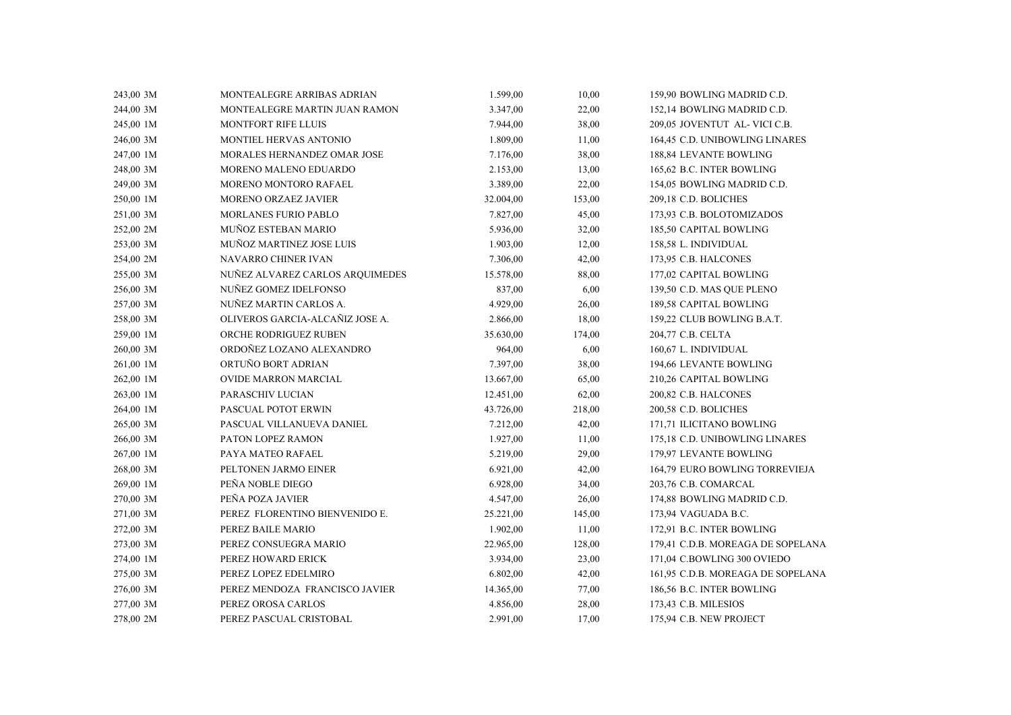| 243,00 3M | MONTEALEGRE ARRIBAS ADRIAN         | 1.599,00  | 10,00  | 159,90 BOWLING MADRID C.D.        |
|-----------|------------------------------------|-----------|--------|-----------------------------------|
| 244,00 3M | MONTEALEGRE MARTIN JUAN RAMON      | 3.347,00  | 22,00  | 152,14 BOWLING MADRID C.D.        |
| 245,00 1M | <b>MONTFORT RIFE LLUIS</b>         | 7.944,00  | 38,00  | 209,05 JOVENTUT AL- VICI C.B.     |
| 246,00 3M | MONTIEL HERVAS ANTONIO             | 1.809,00  | 11,00  | 164,45 C.D. UNIBOWLING LINARES    |
| 247,00 1M | <b>MORALES HERNANDEZ OMAR JOSE</b> | 7.176,00  | 38,00  | 188,84 LEVANTE BOWLING            |
| 248,00 3M | MORENO MALENO EDUARDO              | 2.153,00  | 13,00  | 165,62 B.C. INTER BOWLING         |
| 249,00 3M | MORENO MONTORO RAFAEL              | 3.389,00  | 22,00  | 154,05 BOWLING MADRID C.D.        |
| 250,00 1M | MORENO ORZAEZ JAVIER               | 32.004,00 | 153,00 | 209,18 C.D. BOLICHES              |
| 251,00 3M | MORLANES FURIO PABLO               | 7.827,00  | 45,00  | 173,93 C.B. BOLOTOMIZADOS         |
| 252,00 2M | MUÑOZ ESTEBAN MARIO                | 5.936,00  | 32,00  | 185,50 CAPITAL BOWLING            |
| 253,00 3M | MUÑOZ MARTINEZ JOSE LUIS           | 1.903,00  | 12,00  | 158,58 L. INDIVIDUAL              |
| 254,00 2M | NAVARRO CHINER IVAN                | 7.306,00  | 42,00  | 173,95 C.B. HALCONES              |
| 255,00 3M | NUÑEZ ALVAREZ CARLOS ARQUIMEDES    | 15.578,00 | 88,00  | 177,02 CAPITAL BOWLING            |
| 256,00 3M | NUÑEZ GOMEZ IDELFONSO              | 837,00    | 6,00   | 139,50 C.D. MAS QUE PLENO         |
| 257,00 3M | NUÑEZ MARTIN CARLOS A.             | 4.929,00  | 26,00  | 189,58 CAPITAL BOWLING            |
| 258,00 3M | OLIVEROS GARCIA-ALCAÑIZ JOSE A.    | 2.866,00  | 18,00  | 159,22 CLUB BOWLING B.A.T.        |
| 259,00 1M | ORCHE RODRIGUEZ RUBEN              | 35.630,00 | 174,00 | 204,77 C.B. CELTA                 |
| 260,00 3M | ORDOÑEZ LOZANO ALEXANDRO           | 964,00    | 6,00   | 160,67 L. INDIVIDUAL              |
| 261,00 1M | ORTUÑO BORT ADRIAN                 | 7.397,00  | 38,00  | 194,66 LEVANTE BOWLING            |
| 262,00 1M | <b>OVIDE MARRON MARCIAL</b>        | 13.667,00 | 65,00  | 210,26 CAPITAL BOWLING            |
| 263,00 1M | PARASCHIV LUCIAN                   | 12.451,00 | 62,00  | 200,82 C.B. HALCONES              |
| 264,00 1M | PASCUAL POTOT ERWIN                | 43.726,00 | 218,00 | 200,58 C.D. BOLICHES              |
| 265,00 3M | PASCUAL VILLANUEVA DANIEL          | 7.212,00  | 42,00  | 171,71 ILICITANO BOWLING          |
| 266,00 3M | PATON LOPEZ RAMON                  | 1.927,00  | 11,00  | 175,18 C.D. UNIBOWLING LINARES    |
| 267,00 1M | PAYA MATEO RAFAEL                  | 5.219,00  | 29,00  | 179,97 LEVANTE BOWLING            |
| 268,00 3M | PELTONEN JARMO EINER               | 6.921,00  | 42,00  | 164,79 EURO BOWLING TORREVIEJA    |
| 269,00 1M | PEÑA NOBLE DIEGO                   | 6.928,00  | 34,00  | 203,76 C.B. COMARCAL              |
| 270,00 3M | PEÑA POZA JAVIER                   | 4.547,00  | 26,00  | 174,88 BOWLING MADRID C.D.        |
| 271,00 3M | PEREZ FLORENTINO BIENVENIDO E.     | 25.221,00 | 145,00 | 173,94 VAGUADA B.C.               |
| 272,00 3M | PEREZ BAILE MARIO                  | 1.902,00  | 11,00  | 172,91 B.C. INTER BOWLING         |
| 273,00 3M | PEREZ CONSUEGRA MARIO              | 22.965,00 | 128,00 | 179,41 C.D.B. MOREAGA DE SOPELANA |
| 274,00 1M | PEREZ HOWARD ERICK                 | 3.934,00  | 23,00  | 171,04 C.BOWLING 300 OVIEDO       |
| 275,00 3M | PEREZ LOPEZ EDELMIRO               | 6.802,00  | 42,00  | 161,95 C.D.B. MOREAGA DE SOPELANA |
| 276,00 3M | PEREZ MENDOZA FRANCISCO JAVIER     | 14.365,00 | 77,00  | 186,56 B.C. INTER BOWLING         |
| 277,00 3M | PEREZ OROSA CARLOS                 | 4.856,00  | 28,00  | 173,43 C.B. MILESIOS              |
| 278,00 2M | PEREZ PASCUAL CRISTOBAL            | 2.991,00  | 17,00  | 175,94 C.B. NEW PROJECT           |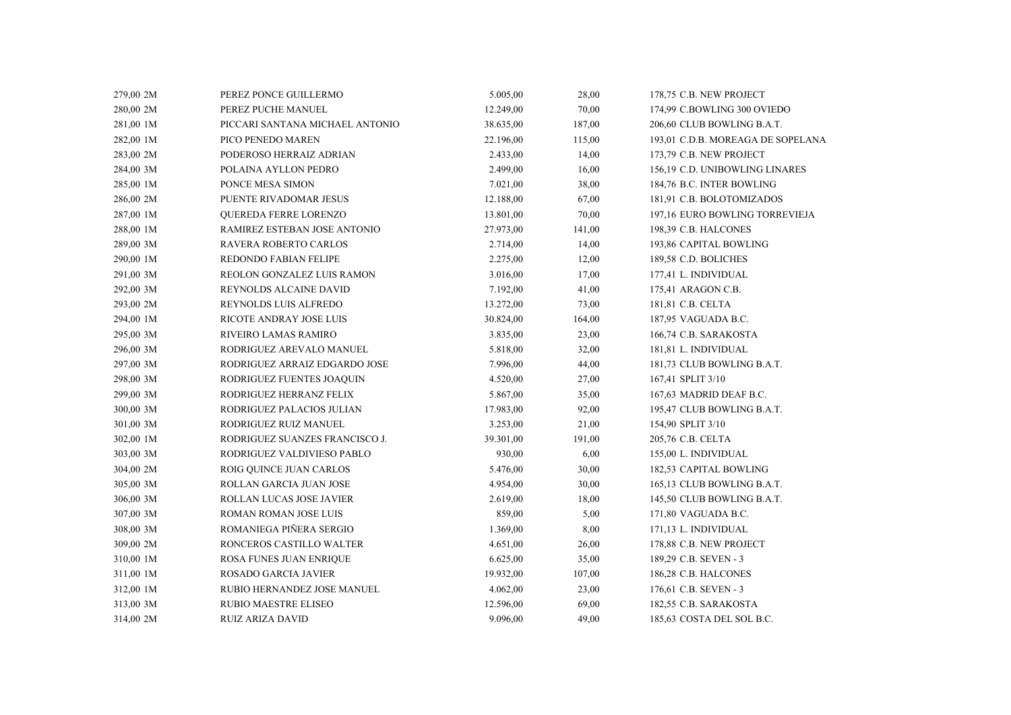| 279,00 2M | PEREZ PONCE GUILLERMO           | 5.005,00  | 28,00  | 178,75 C.B. NEW PROJECT           |
|-----------|---------------------------------|-----------|--------|-----------------------------------|
| 280,00 2M | PEREZ PUCHE MANUEL              | 12.249,00 | 70,00  | 174,99 C.BOWLING 300 OVIEDO       |
| 281,00 1M | PICCARI SANTANA MICHAEL ANTONIO | 38.635,00 | 187,00 | 206,60 CLUB BOWLING B.A.T.        |
| 282,00 1M | PICO PENEDO MAREN               | 22.196,00 | 115,00 | 193,01 C.D.B. MOREAGA DE SOPELANA |
| 283,00 2M | PODEROSO HERRAIZ ADRIAN         | 2.433,00  | 14,00  | 173,79 C.B. NEW PROJECT           |
| 284,00 3M | POLAINA AYLLON PEDRO            | 2.499,00  | 16,00  | 156,19 C.D. UNIBOWLING LINARES    |
| 285,00 1M | PONCE MESA SIMON                | 7.021,00  | 38,00  | 184,76 B.C. INTER BOWLING         |
| 286,00 2M | PUENTE RIVADOMAR JESUS          | 12.188,00 | 67,00  | 181,91 C.B. BOLOTOMIZADOS         |
| 287,00 1M | QUEREDA FERRE LORENZO           | 13.801,00 | 70,00  | 197,16 EURO BOWLING TORREVIEJA    |
| 288,00 1M | RAMIREZ ESTEBAN JOSE ANTONIO    | 27.973,00 | 141,00 | 198,39 C.B. HALCONES              |
| 289,00 3M | RAVERA ROBERTO CARLOS           | 2.714,00  | 14,00  | 193,86 CAPITAL BOWLING            |
| 290,00 1M | REDONDO FABIAN FELIPE           | 2.275,00  | 12,00  | 189,58 C.D. BOLICHES              |
| 291,00 3M | REOLON GONZALEZ LUIS RAMON      | 3.016,00  | 17,00  | 177,41 L. INDIVIDUAL              |
| 292,00 3M | REYNOLDS ALCAINE DAVID          | 7.192,00  | 41,00  | 175,41 ARAGON C.B.                |
| 293,00 2M | REYNOLDS LUIS ALFREDO           | 13.272,00 | 73,00  | 181,81 C.B. CELTA                 |
| 294,00 1M | RICOTE ANDRAY JOSE LUIS         | 30.824,00 | 164,00 | 187,95 VAGUADA B.C.               |
| 295,00 3M | RIVEIRO LAMAS RAMIRO            | 3.835,00  | 23,00  | 166,74 C.B. SARAKOSTA             |
| 296,00 3M | RODRIGUEZ AREVALO MANUEL        | 5.818,00  | 32,00  | 181,81 L. INDIVIDUAL              |
| 297,00 3M | RODRIGUEZ ARRAIZ EDGARDO JOSE   | 7.996,00  | 44,00  | 181,73 CLUB BOWLING B.A.T.        |
| 298,00 3M | RODRIGUEZ FUENTES JOAQUIN       | 4.520,00  | 27,00  | 167,41 SPLIT 3/10                 |
| 299,00 3M | RODRIGUEZ HERRANZ FELIX         | 5.867,00  | 35,00  | 167,63 MADRID DEAF B.C.           |
| 300,00 3M | RODRIGUEZ PALACIOS JULIAN       | 17.983,00 | 92,00  | 195,47 CLUB BOWLING B.A.T.        |
| 301,00 3M | RODRIGUEZ RUIZ MANUEL           | 3.253,00  | 21,00  | 154,90 SPLIT 3/10                 |
| 302,00 1M | RODRIGUEZ SUANZES FRANCISCO J.  | 39.301,00 | 191,00 | 205,76 C.B. CELTA                 |
| 303,00 3M | RODRIGUEZ VALDIVIESO PABLO      | 930,00    | 6,00   | 155,00 L. INDIVIDUAL              |
| 304,00 2M | ROIG QUINCE JUAN CARLOS         | 5.476,00  | 30,00  | 182,53 CAPITAL BOWLING            |
| 305,00 3M | ROLLAN GARCIA JUAN JOSE         | 4.954,00  | 30,00  | 165,13 CLUB BOWLING B.A.T.        |
| 306,00 3M | ROLLAN LUCAS JOSE JAVIER        | 2.619,00  | 18,00  | 145,50 CLUB BOWLING B.A.T.        |
| 307,00 3M | ROMAN ROMAN JOSE LUIS           | 859,00    | 5,00   | 171,80 VAGUADA B.C.               |
| 308,00 3M | ROMANIEGA PIÑERA SERGIO         | 1.369,00  | 8,00   | 171,13 L. INDIVIDUAL              |
| 309,00 2M | RONCEROS CASTILLO WALTER        | 4.651,00  | 26,00  | 178,88 C.B. NEW PROJECT           |
| 310,00 1M | ROSA FUNES JUAN ENRIQUE         | 6.625,00  | 35,00  | 189,29 C.B. SEVEN - 3             |
| 311,00 1M | <b>ROSADO GARCIA JAVIER</b>     | 19.932,00 | 107,00 | 186,28 C.B. HALCONES              |
| 312,00 1M | RUBIO HERNANDEZ JOSE MANUEL     | 4.062,00  | 23,00  | 176,61 C.B. SEVEN - 3             |
| 313,00 3M | <b>RUBIO MAESTRE ELISEO</b>     | 12.596,00 | 69,00  | 182,55 C.B. SARAKOSTA             |
| 314,00 2M | RUIZ ARIZA DAVID                | 9.096,00  | 49,00  | 185,63 COSTA DEL SOL B.C.         |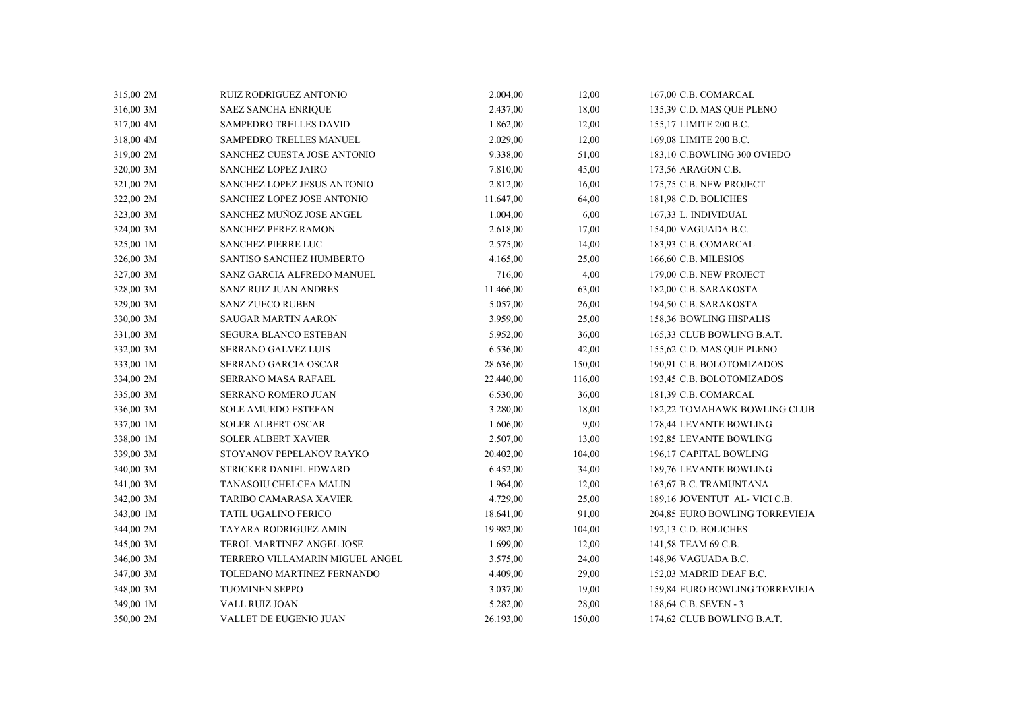| 315,00 2M | <b>RUIZ RODRIGUEZ ANTONIO</b>   | 2.004,00  | 12,00  | 167,00 C.B. COMARCAL           |  |
|-----------|---------------------------------|-----------|--------|--------------------------------|--|
| 316,00 3M | <b>SAEZ SANCHA ENRIQUE</b>      | 2.437,00  | 18,00  | 135,39 C.D. MAS QUE PLENO      |  |
| 317,00 4M | SAMPEDRO TRELLES DAVID          | 1.862,00  | 12,00  | 155,17 LIMITE 200 B.C.         |  |
| 318,00 4M | <b>SAMPEDRO TRELLES MANUEL</b>  | 2.029,00  | 12,00  | 169,08 LIMITE 200 B.C.         |  |
| 319,00 2M | SANCHEZ CUESTA JOSE ANTONIO     | 9.338,00  | 51,00  | 183,10 C.BOWLING 300 OVIEDO    |  |
| 320,00 3M | SANCHEZ LOPEZ JAIRO             | 7.810,00  | 45,00  | 173,56 ARAGON C.B.             |  |
| 321,00 2M | SANCHEZ LOPEZ JESUS ANTONIO     | 2.812,00  | 16,00  | 175,75 C.B. NEW PROJECT        |  |
| 322,00 2M | SANCHEZ LOPEZ JOSE ANTONIO      | 11.647,00 | 64,00  | 181,98 C.D. BOLICHES           |  |
| 323,00 3M | SANCHEZ MUÑOZ JOSE ANGEL        | 1.004,00  | 6,00   | 167,33 L. INDIVIDUAL           |  |
| 324,00 3M | <b>SANCHEZ PEREZ RAMON</b>      | 2.618,00  | 17,00  | 154,00 VAGUADA B.C.            |  |
| 325,00 1M | <b>SANCHEZ PIERRE LUC</b>       | 2.575,00  | 14,00  | 183,93 C.B. COMARCAL           |  |
| 326,00 3M | SANTISO SANCHEZ HUMBERTO        | 4.165,00  | 25,00  | 166,60 C.B. MILESIOS           |  |
| 327,00 3M | SANZ GARCIA ALFREDO MANUEL      | 716,00    | 4,00   | 179,00 C.B. NEW PROJECT        |  |
| 328,00 3M | <b>SANZ RUIZ JUAN ANDRES</b>    | 11.466,00 | 63,00  | 182,00 C.B. SARAKOSTA          |  |
| 329,00 3M | <b>SANZ ZUECO RUBEN</b>         | 5.057,00  | 26,00  | 194,50 C.B. SARAKOSTA          |  |
| 330,00 3M | <b>SAUGAR MARTIN AARON</b>      | 3.959,00  | 25,00  | 158,36 BOWLING HISPALIS        |  |
| 331,00 3M | <b>SEGURA BLANCO ESTEBAN</b>    | 5.952,00  | 36,00  | 165,33 CLUB BOWLING B.A.T.     |  |
| 332,00 3M | <b>SERRANO GALVEZ LUIS</b>      | 6.536,00  | 42,00  | 155,62 C.D. MAS QUE PLENO      |  |
| 333,00 1M | SERRANO GARCIA OSCAR            | 28.636,00 | 150,00 | 190,91 C.B. BOLOTOMIZADOS      |  |
| 334,00 2M | SERRANO MASA RAFAEL             | 22.440,00 | 116,00 | 193,45 C.B. BOLOTOMIZADOS      |  |
| 335,00 3M | SERRANO ROMERO JUAN             | 6.530,00  | 36,00  | 181,39 C.B. COMARCAL           |  |
| 336,00 3M | <b>SOLE AMUEDO ESTEFAN</b>      | 3.280,00  | 18,00  | 182,22 TOMAHAWK BOWLING CLUB   |  |
| 337,00 1M | <b>SOLER ALBERT OSCAR</b>       | 1.606,00  | 9,00   | 178,44 LEVANTE BOWLING         |  |
| 338,00 1M | <b>SOLER ALBERT XAVIER</b>      | 2.507,00  | 13,00  | 192,85 LEVANTE BOWLING         |  |
| 339,00 3M | STOYANOV PEPELANOV RAYKO        | 20.402,00 | 104,00 | 196,17 CAPITAL BOWLING         |  |
| 340,00 3M | STRICKER DANIEL EDWARD          | 6.452,00  | 34,00  | 189,76 LEVANTE BOWLING         |  |
| 341,00 3M | TANASOIU CHELCEA MALIN          | 1.964,00  | 12,00  | 163,67 B.C. TRAMUNTANA         |  |
| 342,00 3M | TARIBO CAMARASA XAVIER          | 4.729,00  | 25,00  | 189,16 JOVENTUT AL- VICI C.B.  |  |
| 343,00 1M | TATIL UGALINO FERICO            | 18.641,00 | 91,00  | 204,85 EURO BOWLING TORREVIEJA |  |
| 344,00 2M | TAYARA RODRIGUEZ AMIN           | 19.982,00 | 104,00 | 192,13 C.D. BOLICHES           |  |
| 345,00 3M | TEROL MARTINEZ ANGEL JOSE       | 1.699,00  | 12,00  | 141,58 TEAM 69 C.B.            |  |
| 346,00 3M | TERRERO VILLAMARIN MIGUEL ANGEL | 3.575,00  | 24,00  | 148,96 VAGUADA B.C.            |  |
| 347,00 3M | TOLEDANO MARTINEZ FERNANDO      | 4.409,00  | 29,00  | 152,03 MADRID DEAF B.C.        |  |
| 348,00 3M | <b>TUOMINEN SEPPO</b>           | 3.037,00  | 19,00  | 159,84 EURO BOWLING TORREVIEJA |  |
| 349,00 1M | VALL RUIZ JOAN                  | 5.282,00  | 28,00  | 188,64 C.B. SEVEN - 3          |  |
| 350,00 2M | VALLET DE EUGENIO JUAN          | 26.193,00 | 150,00 | 174,62 CLUB BOWLING B.A.T.     |  |